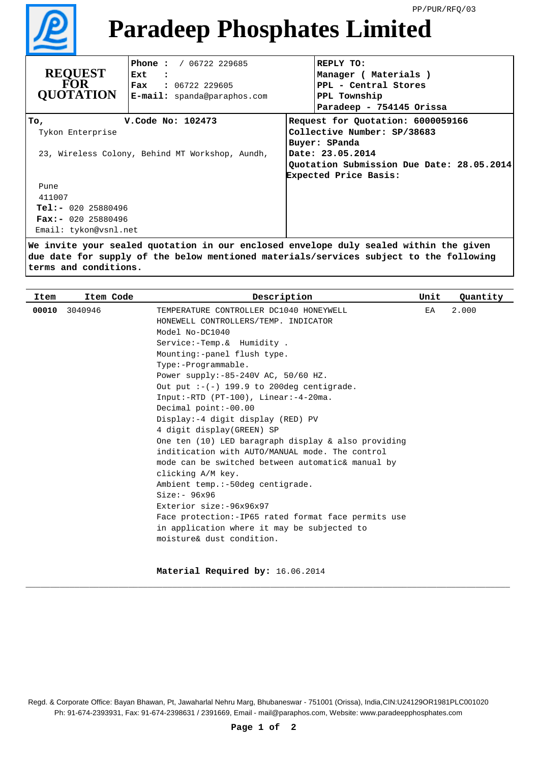

## **Paradeep Phosphates Limited**

| <b>REQUEST</b><br><b>FOR</b><br><b>OUOTATION</b>                                                 | <b>Phone:</b> / $06722$ 229685<br>Ext<br>$\sim$ $\sim$ $\sim$<br><b>Fax :</b> $06722$ 229605<br><b>E-mail:</b> spanda@paraphos.com | REPLY TO:<br>Manager ( Materials )<br>PPL - Central Stores<br>PPL Township<br>Paradeep - 754145 Orissa                                                                      |  |  |
|--------------------------------------------------------------------------------------------------|------------------------------------------------------------------------------------------------------------------------------------|-----------------------------------------------------------------------------------------------------------------------------------------------------------------------------|--|--|
| V. Code No: 102473<br>Тo,<br>Tykon Enterprise<br>23, Wireless Colony, Behind MT Workshop, Aundh, |                                                                                                                                    | Request for Quotation: 6000059166<br>Collective Number: SP/38683<br>Buyer: SPanda<br>Date: 23.05.2014<br>Quotation Submission Due Date: 28.05.2014<br>Expected Price Basis: |  |  |
| Pune<br>411007<br>$Tel: - 020 25880496$<br><b>Fax:-</b> 020 25880496<br>Email: tykon@vsnl.net    |                                                                                                                                    |                                                                                                                                                                             |  |  |

**We invite your sealed quotation in our enclosed envelope duly sealed within the given due date for supply of the below mentioned materials/services subject to the following terms and conditions.**

| Item  | Item Code | Description                                         | Unit | Quantity |
|-------|-----------|-----------------------------------------------------|------|----------|
| 00010 | 3040946   | TEMPERATURE CONTROLLER DC1040 HONEYWELL             | EA   | 2.000    |
|       |           | HONEWELL CONTROLLERS/TEMP. INDICATOR                |      |          |
|       |           | Model No-DC1040                                     |      |          |
|       |           | Service: - Temp. & Humidity.                        |      |          |
|       |           | Mounting:-panel flush type.                         |      |          |
|       |           | $Type: -Programmath.$                               |      |          |
|       |           | Power supply:-85-240V AC, 50/60 HZ.                 |      |          |
|       |           | Out put $:-(-)$ 199.9 to 200deg centigrade.         |      |          |
|       |           | Input:-RTD (PT-100), Linear:-4-20ma.                |      |          |
|       |           | Decimal point:-00.00                                |      |          |
|       |           | Display: -4 digit display (RED) PV                  |      |          |
|       |           | 4 digit display(GREEN) SP                           |      |          |
|       |           | One ten (10) LED baragraph display & also providing |      |          |
|       |           | inditication with AUTO/MANUAL mode. The control     |      |          |
|       |           | mode can be switched between automatic& manual by   |      |          |
|       |           | clicking A/M key.                                   |      |          |
|       |           | Ambient temp.:-50deg centigrade.                    |      |          |
|       |           | $Size: - 96x96$                                     |      |          |
|       |           | Exterior size:-96x96x97                             |      |          |
|       |           | Face protection:-IP65 rated format face permits use |      |          |
|       |           | in application where it may be subjected to         |      |          |
|       |           | moisture& dust condition.                           |      |          |
|       |           |                                                     |      |          |
|       |           |                                                     |      |          |

**Material Required by:** 16.06.2014

\_\_\_\_\_\_\_\_\_\_\_\_\_\_\_\_\_\_\_\_\_\_\_\_\_\_\_\_\_\_\_\_\_\_\_\_\_\_\_\_\_\_\_\_\_\_\_\_\_\_\_\_\_\_\_\_\_\_\_\_\_\_\_\_\_\_\_\_\_\_\_\_\_\_\_\_\_\_\_\_\_\_\_\_\_\_\_\_\_\_\_\_\_\_\_\_\_\_\_

Regd. & Corporate Office: Bayan Bhawan, Pt, Jawaharlal Nehru Marg, Bhubaneswar - 751001 (Orissa), India,CIN:U24129OR1981PLC001020 Ph: 91-674-2393931, Fax: 91-674-2398631 / 2391669, Email - mail@paraphos.com, Website: www.paradeepphosphates.com